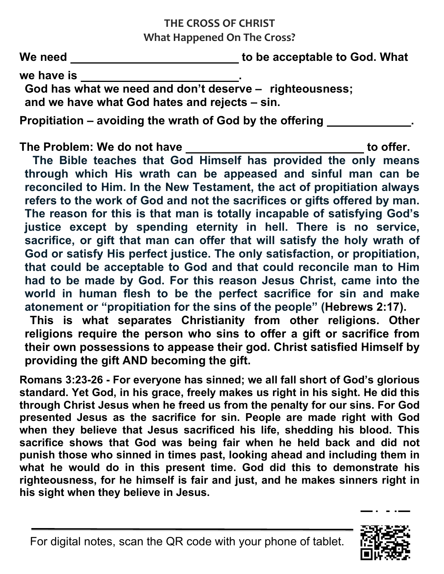## **THE CROSS OF CHRIST What Happened On The Cross?**

We need \_\_\_\_\_\_\_\_\_\_\_\_\_\_\_\_\_\_\_\_\_\_\_\_\_\_\_\_\_\_\_\_to be acceptable to God. What

we have is **we** 

**God has what we need and don't deserve – righteousness; and we have what God hates and rejects – sin.**

**Propitiation – avoiding the wrath of God by the offering .**

The Problem: We do not have \_\_\_\_\_\_\_\_\_\_\_\_\_\_\_\_\_\_\_\_\_\_\_\_\_\_\_\_\_\_\_\_to offer.

**The Bible teaches that God Himself has provided the only means through which His wrath can be appeased and sinful man can be reconciled to Him. In the New Testament, the act of propitiation always refers to the work of God and not the sacrifices or gifts offered by man. The reason for this is that man is totally incapable of satisfying God's justice except by spending eternity in hell. There is no service, sacrifice, or gift that man can offer that will satisfy the holy wrath of God or satisfy His perfect justice. The only satisfaction, or propitiation, that could be acceptable to God and that could reconcile man to Him had to be made by God. For this reason Jesus Christ, came into the world in human flesh to be the perfect sacrifice for sin and make atonement or "propitiation for the sins of the people" [\(Hebrews 2:17\)](https://biblia.com/bible/esv/Heb%202.17).**

**This is what separates Christianity from other religions. Other religions require the person who sins to offer a gift or sacrifice from their own possessions to appease their god. Christ satisfied Himself by providing the gift AND becoming the gift.**

**Romans 3:23-26 - For everyone has sinned; we all fall short of God's glorious standard. Yet God, in his grace, freely makes us right in his sight. He did this through Christ Jesus when he freed us from the penalty for our sins. For God presented Jesus as the sacrifice for sin. People are made right with God when they believe that Jesus sacrificed his life, shedding his blood. This sacrifice shows that God was being fair when he held back and did not punish those who sinned in times past, looking ahead and including them in what he would do in this present time. God did this to demonstrate his righteousness, for he himself is fair and just, and he makes sinners right in his sight when they believe in Jesus.**